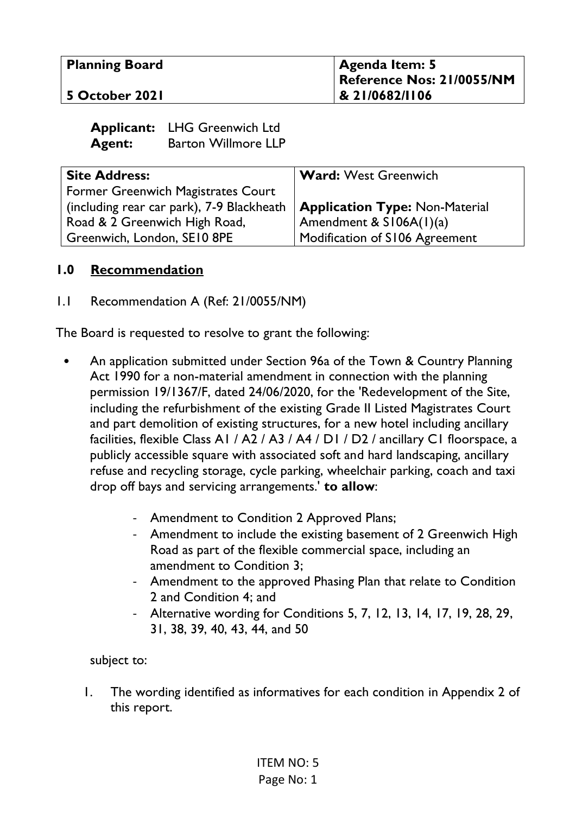| <b>Planning Board</b> | Agenda Item: 5<br>Reference Nos: 21/0055/NM |
|-----------------------|---------------------------------------------|
| 5 October 2021        | 8 21/0682/1106                              |

|               | <b>Applicant:</b> LHG Greenwich Ltd |
|---------------|-------------------------------------|
| <b>Agent:</b> | <b>Barton Willmore LLP</b>          |

| <b>Site Address:</b>                      | <b>Ward: West Greenwich</b>           |
|-------------------------------------------|---------------------------------------|
| Former Greenwich Magistrates Court        |                                       |
| (including rear car park), 7-9 Blackheath | <b>Application Type: Non-Material</b> |
| Road & 2 Greenwich High Road,             | Amendment & $S106A(1)(a)$             |
| Greenwich, London, SE10 8PE               | Modification of S106 Agreement        |

#### **1.0 Recommendation**

1.1 Recommendation A (Ref: 21/0055/NM)

The Board is requested to resolve to grant the following:

- An application submitted under Section 96a of the Town & Country Planning Act 1990 for a non-material amendment in connection with the planning permission 19/1367/F, dated 24/06/2020, for the 'Redevelopment of the Site, including the refurbishment of the existing Grade II Listed Magistrates Court and part demolition of existing structures, for a new hotel including ancillary facilities, flexible Class A1 / A2 / A3 / A4 / D1 / D2 / ancillary C1 floorspace, a publicly accessible square with associated soft and hard landscaping, ancillary refuse and recycling storage, cycle parking, wheelchair parking, coach and taxi drop off bays and servicing arrangements.' **to allow**:
	- Amendment to Condition 2 Approved Plans;
	- Amendment to include the existing basement of 2 Greenwich High Road as part of the flexible commercial space, including an amendment to Condition 3;
	- Amendment to the approved Phasing Plan that relate to Condition 2 and Condition 4; and
	- Alternative wording for Conditions 5, 7, 12, 13, 14, 17, 19, 28, 29, 31, 38, 39, 40, 43, 44, and 50

subject to:

1. The wording identified as informatives for each condition in Appendix 2 of this report.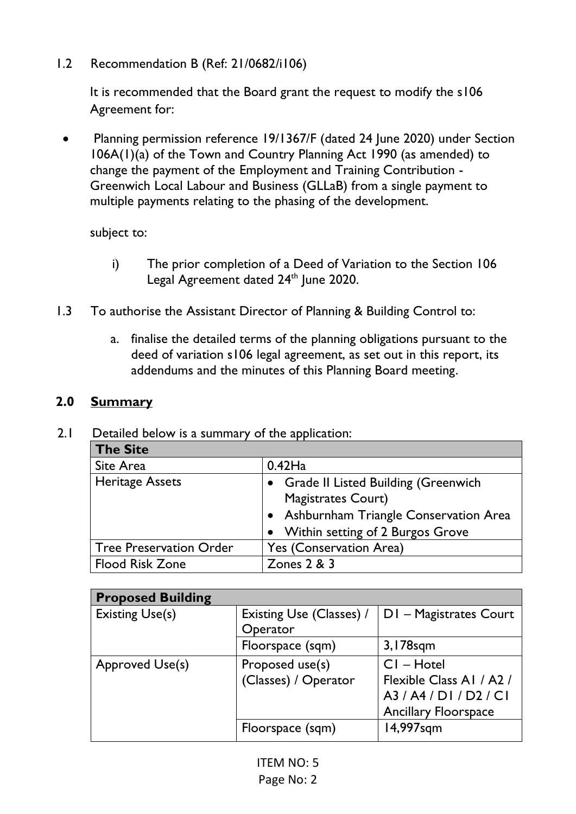1.2 Recommendation B (Ref: 21/0682/i106)

It is recommended that the Board grant the request to modify the s106 Agreement for:

• Planning permission reference 19/1367/F (dated 24 June 2020) under Section 106A(1)(a) of the Town and Country Planning Act 1990 (as amended) to change the payment of the Employment and Training Contribution - Greenwich Local Labour and Business (GLLaB) from a single payment to multiple payments relating to the phasing of the development.

subject to:

- i) The prior completion of a Deed of Variation to the Section 106 Legal Agreement dated 24<sup>th</sup> June 2020.
- 1.3 To authorise the Assistant Director of Planning & Building Control to:
	- a. finalise the detailed terms of the planning obligations pursuant to the deed of variation s106 legal agreement, as set out in this report, its addendums and the minutes of this Planning Board meeting.

#### **2.0 Summary**

#### 2.1 Detailed below is a summary of the application:

| The Site                |                                                                    |
|-------------------------|--------------------------------------------------------------------|
| Site Area               | $0.42$ Ha                                                          |
| <b>Heritage Assets</b>  | • Grade II Listed Building (Greenwich<br><b>Magistrates Court)</b> |
|                         | • Ashburnham Triangle Conservation Area                            |
|                         | • Within setting of 2 Burgos Grove                                 |
| Tree Preservation Order | Yes (Conservation Area)                                            |
| <b>Flood Risk Zone</b>  | Zones $2 & 3$                                                      |

| <b>Proposed Building</b> |                          |                             |
|--------------------------|--------------------------|-----------------------------|
| <b>Existing Use(s)</b>   | Existing Use (Classes) / | DI - Magistrates Court      |
|                          | Operator                 |                             |
|                          | Floorspace (sqm)         | 3,178sqm                    |
| <b>Approved Use(s)</b>   | Proposed use(s)          | $CI - Hotel$                |
|                          | (Classes) / Operator     | Flexible Class A1 / A2 /    |
|                          |                          | A3/A4/DI/D2/CI              |
|                          |                          | <b>Ancillary Floorspace</b> |
|                          | Floorspace (sqm)         | 14,997sqm                   |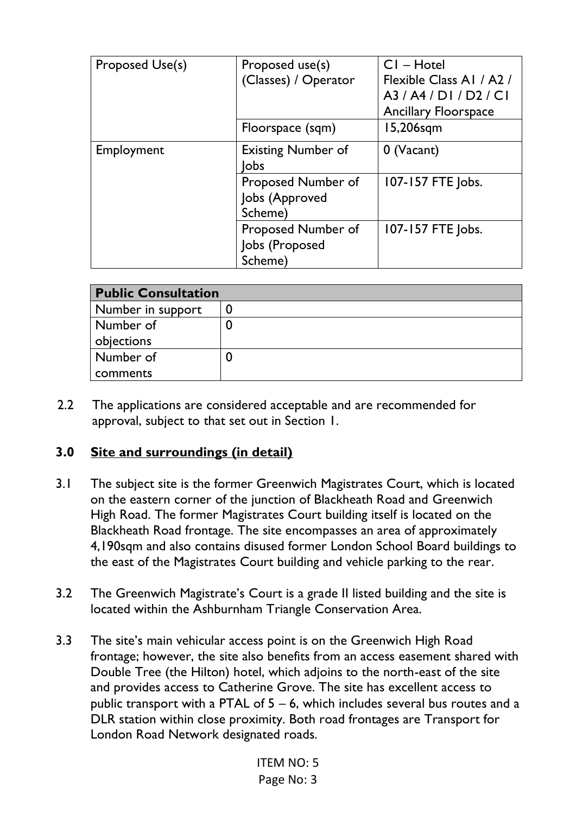| Proposed Use(s) | Proposed use(s)<br>(Classes) / Operator         | $CI - Hotel$<br>Flexible Class A1 / A2 /<br>A3/A4/DI/D2/CI<br><b>Ancillary Floorspace</b> |
|-----------------|-------------------------------------------------|-------------------------------------------------------------------------------------------|
|                 | Floorspace (sqm)                                | 15,206sqm                                                                                 |
| Employment      | <b>Existing Number of</b><br>lobs               | 0 (Vacant)                                                                                |
|                 | Proposed Number of<br>Jobs (Approved<br>Scheme) | 107-157 FTE Jobs.                                                                         |
|                 | Proposed Number of<br>Jobs (Proposed<br>Scheme) | 107-157 FTE Jobs.                                                                         |

| <b>Public Consultation</b> |  |
|----------------------------|--|
| Number in support          |  |
| Number of                  |  |
| objections                 |  |
| Number of                  |  |
| comments                   |  |

2.2 The applications are considered acceptable and are recommended for approval, subject to that set out in Section 1.

### **3.0 Site and surroundings (in detail)**

- 3.1 The subject site is the former Greenwich Magistrates Court, which is located on the eastern corner of the junction of Blackheath Road and Greenwich High Road. The former Magistrates Court building itself is located on the Blackheath Road frontage. The site encompasses an area of approximately 4,190sqm and also contains disused former London School Board buildings to the east of the Magistrates Court building and vehicle parking to the rear.
- 3.2 The Greenwich Magistrate's Court is a grade II listed building and the site is located within the Ashburnham Triangle Conservation Area.
- 3.3 The site's main vehicular access point is on the Greenwich High Road frontage; however, the site also benefits from an access easement shared with Double Tree (the Hilton) hotel, which adjoins to the north-east of the site and provides access to Catherine Grove. The site has excellent access to public transport with a PTAL of 5 – 6, which includes several bus routes and a DLR station within close proximity. Both road frontages are Transport for London Road Network designated roads.

ITEM NO: 5 Page No: 3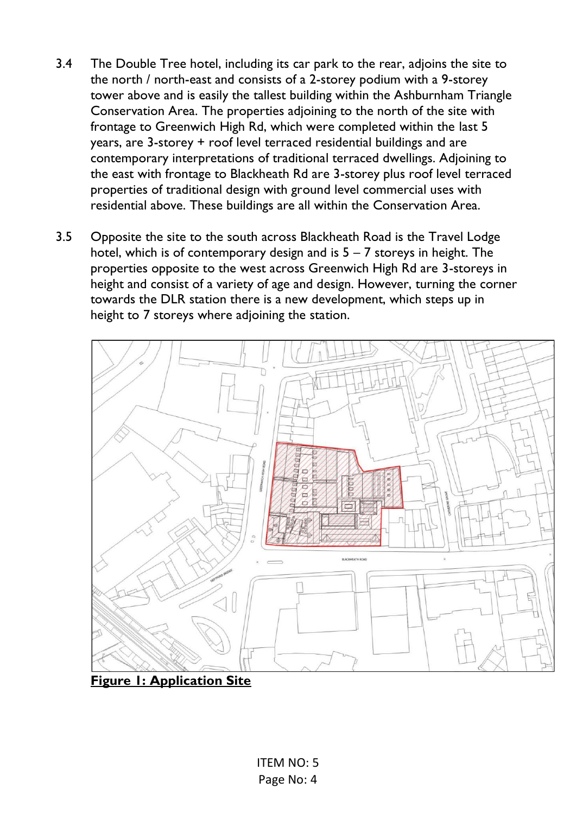- 3.4 The Double Tree hotel, including its car park to the rear, adjoins the site to the north / north-east and consists of a 2-storey podium with a 9-storey tower above and is easily the tallest building within the Ashburnham Triangle Conservation Area. The properties adjoining to the north of the site with frontage to Greenwich High Rd, which were completed within the last 5 years, are 3-storey + roof level terraced residential buildings and are contemporary interpretations of traditional terraced dwellings. Adjoining to the east with frontage to Blackheath Rd are 3-storey plus roof level terraced properties of traditional design with ground level commercial uses with residential above. These buildings are all within the Conservation Area.
- 3.5 Opposite the site to the south across Blackheath Road is the Travel Lodge hotel, which is of contemporary design and is  $5 - 7$  storeys in height. The properties opposite to the west across Greenwich High Rd are 3-storeys in height and consist of a variety of age and design. However, turning the corner towards the DLR station there is a new development, which steps up in height to 7 storeys where adjoining the station.



**Figure 1: Application Site**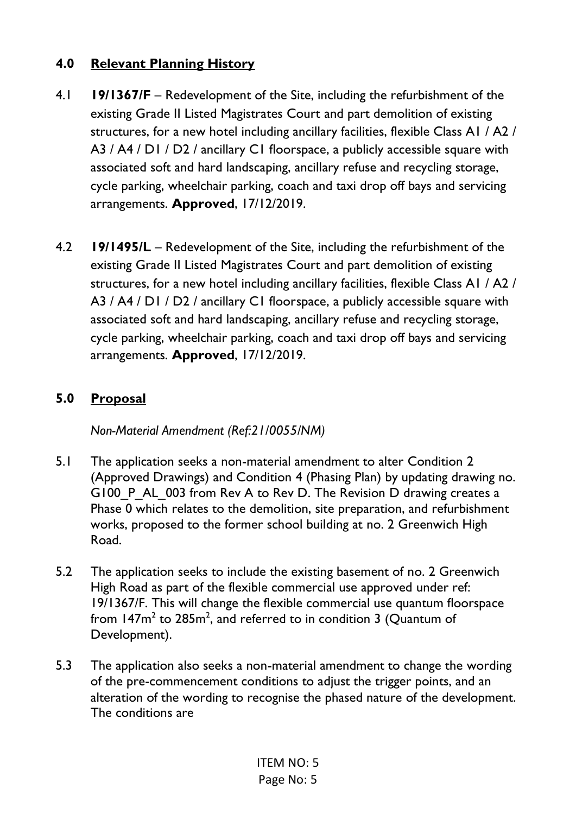# **4.0 Relevant Planning History**

- 4.1 **19/1367/F**  Redevelopment of the Site, including the refurbishment of the existing Grade II Listed Magistrates Court and part demolition of existing structures, for a new hotel including ancillary facilities, flexible Class A1 / A2 / A3 / A4 / D1 / D2 / ancillary C1 floorspace, a publicly accessible square with associated soft and hard landscaping, ancillary refuse and recycling storage, cycle parking, wheelchair parking, coach and taxi drop off bays and servicing arrangements. **Approved**, 17/12/2019.
- 4.2 **19/1495/L** Redevelopment of the Site, including the refurbishment of the existing Grade II Listed Magistrates Court and part demolition of existing structures, for a new hotel including ancillary facilities, flexible Class A1 / A2 / A3 / A4 / D1 / D2 / ancillary C1 floorspace, a publicly accessible square with associated soft and hard landscaping, ancillary refuse and recycling storage, cycle parking, wheelchair parking, coach and taxi drop off bays and servicing arrangements. **Approved**, 17/12/2019.

# **5.0 Proposal**

*Non-Material Amendment (Ref:21/0055/NM)* 

- 5.1 The application seeks a non-material amendment to alter Condition 2 (Approved Drawings) and Condition 4 (Phasing Plan) by updating drawing no. G100 P AL 003 from Rev A to Rev D. The Revision D drawing creates a Phase 0 which relates to the demolition, site preparation, and refurbishment works, proposed to the former school building at no. 2 Greenwich High Road.
- 5.2 The application seeks to include the existing basement of no. 2 Greenwich High Road as part of the flexible commercial use approved under ref: 19/1367/F. This will change the flexible commercial use quantum floorspace from 147 $m^2$  to 285 $m^2$ , and referred to in condition 3 (Quantum of Development).
- 5.3 The application also seeks a non-material amendment to change the wording of the pre-commencement conditions to adjust the trigger points, and an alteration of the wording to recognise the phased nature of the development. The conditions are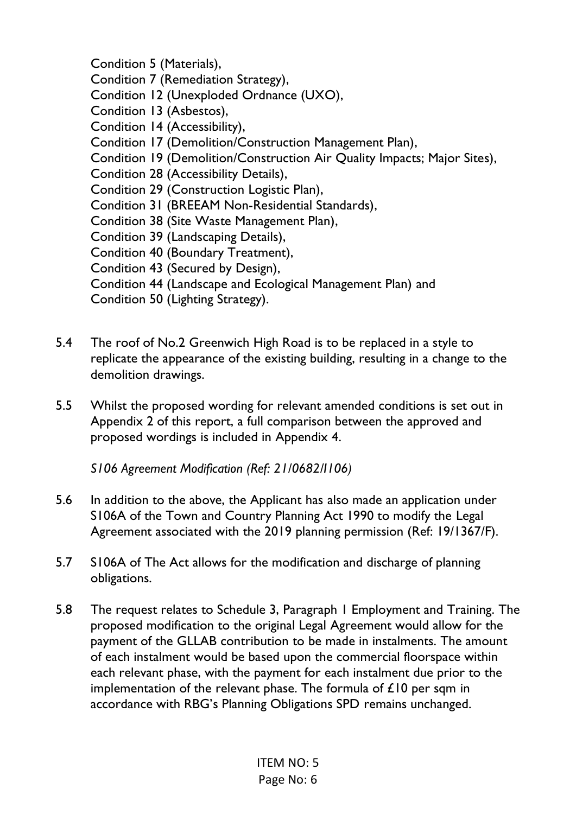Condition 5 (Materials), Condition 7 (Remediation Strategy), Condition 12 (Unexploded Ordnance (UXO), Condition 13 (Asbestos), Condition 14 (Accessibility), Condition 17 (Demolition/Construction Management Plan), Condition 19 (Demolition/Construction Air Quality Impacts; Major Sites), Condition 28 (Accessibility Details), Condition 29 (Construction Logistic Plan), Condition 31 (BREEAM Non-Residential Standards), Condition 38 (Site Waste Management Plan), Condition 39 (Landscaping Details), Condition 40 (Boundary Treatment), Condition 43 (Secured by Design), Condition 44 (Landscape and Ecological Management Plan) and Condition 50 (Lighting Strategy).

- 5.4 The roof of No.2 Greenwich High Road is to be replaced in a style to replicate the appearance of the existing building, resulting in a change to the demolition drawings.
- 5.5 Whilst the proposed wording for relevant amended conditions is set out in Appendix 2 of this report, a full comparison between the approved and proposed wordings is included in Appendix 4.

*S106 Agreement Modification (Ref: 21/0682/I106)* 

- 5.6 In addition to the above, the Applicant has also made an application under S106A of the Town and Country Planning Act 1990 to modify the Legal Agreement associated with the 2019 planning permission (Ref: 19/1367/F).
- 5.7 S106A of The Act allows for the modification and discharge of planning obligations.
- 5.8 The request relates to Schedule 3, Paragraph 1 Employment and Training. The proposed modification to the original Legal Agreement would allow for the payment of the GLLAB contribution to be made in instalments. The amount of each instalment would be based upon the commercial floorspace within each relevant phase, with the payment for each instalment due prior to the implementation of the relevant phase. The formula of £10 per sqm in accordance with RBG's Planning Obligations SPD remains unchanged.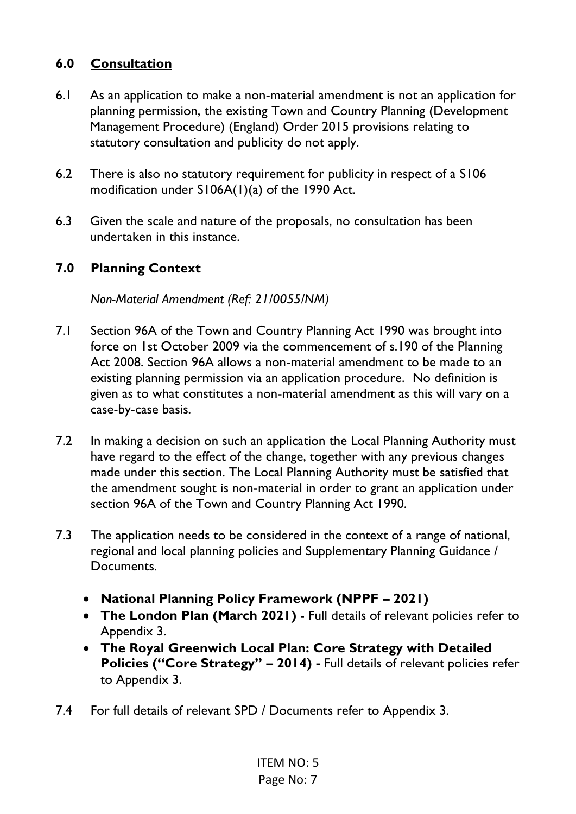# **6.0 Consultation**

- 6.1 As an application to make a non-material amendment is not an application for planning permission, the existing Town and Country Planning (Development Management Procedure) (England) Order 2015 provisions relating to statutory consultation and publicity do not apply.
- 6.2 There is also no statutory requirement for publicity in respect of a S106 modification under S106A(1)(a) of the 1990 Act.
- 6.3 Given the scale and nature of the proposals, no consultation has been undertaken in this instance.

### **7.0 Planning Context**

*Non-Material Amendment (Ref: 21/0055/NM)* 

- 7.1 Section 96A of the Town and Country Planning Act 1990 was brought into force on 1st October 2009 via the commencement of s.190 of the Planning Act 2008. Section 96A allows a non-material amendment to be made to an existing planning permission via an application procedure. No definition is given as to what constitutes a non-material amendment as this will vary on a case-by-case basis.
- 7.2 In making a decision on such an application the Local Planning Authority must have regard to the effect of the change, together with any previous changes made under this section. The Local Planning Authority must be satisfied that the amendment sought is non-material in order to grant an application under section 96A of the Town and Country Planning Act 1990.
- 7.3 The application needs to be considered in the context of a range of national, regional and local planning policies and Supplementary Planning Guidance / Documents.
	- **National Planning Policy Framework (NPPF – 2021)**
	- **The London Plan (March 2021)** Full details of relevant policies refer to Appendix 3.
	- **The Royal Greenwich Local Plan: Core Strategy with Detailed Policies ("Core Strategy" – 2014) -** Full details of relevant policies refer to Appendix 3.
- 7.4 For full details of relevant SPD / Documents refer to Appendix 3.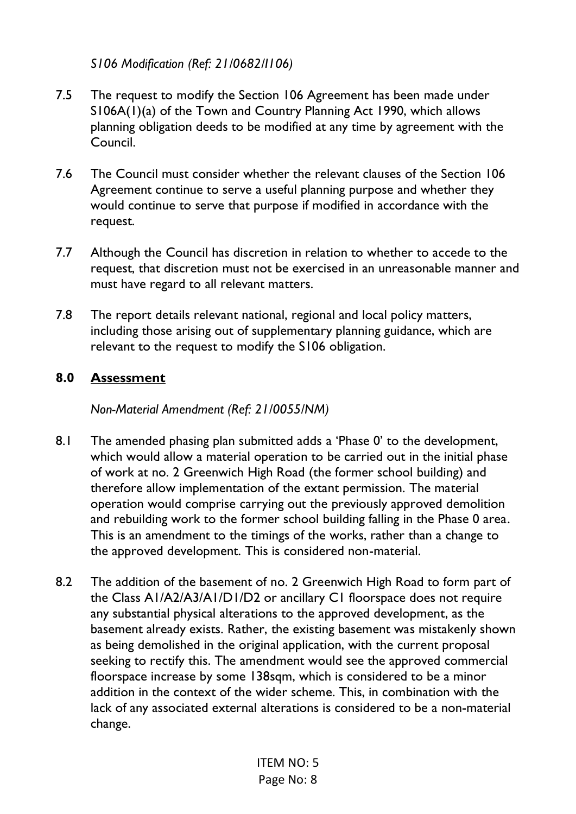### *S106 Modification (Ref: 21/0682/I106)*

- 7.5 The request to modify the Section 106 Agreement has been made under S106A(1)(a) of the Town and Country Planning Act 1990, which allows planning obligation deeds to be modified at any time by agreement with the Council.
- 7.6 The Council must consider whether the relevant clauses of the Section 106 Agreement continue to serve a useful planning purpose and whether they would continue to serve that purpose if modified in accordance with the request.
- 7.7 Although the Council has discretion in relation to whether to accede to the request, that discretion must not be exercised in an unreasonable manner and must have regard to all relevant matters.
- 7.8 The report details relevant national, regional and local policy matters, including those arising out of supplementary planning guidance, which are relevant to the request to modify the S106 obligation.

## **8.0 Assessment**

*Non-Material Amendment (Ref: 21/0055/NM)* 

- 8.1 The amended phasing plan submitted adds a 'Phase 0' to the development, which would allow a material operation to be carried out in the initial phase of work at no. 2 Greenwich High Road (the former school building) and therefore allow implementation of the extant permission. The material operation would comprise carrying out the previously approved demolition and rebuilding work to the former school building falling in the Phase 0 area. This is an amendment to the timings of the works, rather than a change to the approved development. This is considered non-material.
- 8.2 The addition of the basement of no. 2 Greenwich High Road to form part of the Class A1/A2/A3/A1/D1/D2 or ancillary C1 floorspace does not require any substantial physical alterations to the approved development, as the basement already exists. Rather, the existing basement was mistakenly shown as being demolished in the original application, with the current proposal seeking to rectify this. The amendment would see the approved commercial floorspace increase by some 138sqm, which is considered to be a minor addition in the context of the wider scheme. This, in combination with the lack of any associated external alterations is considered to be a non-material change.

ITEM NO: 5 Page No: 8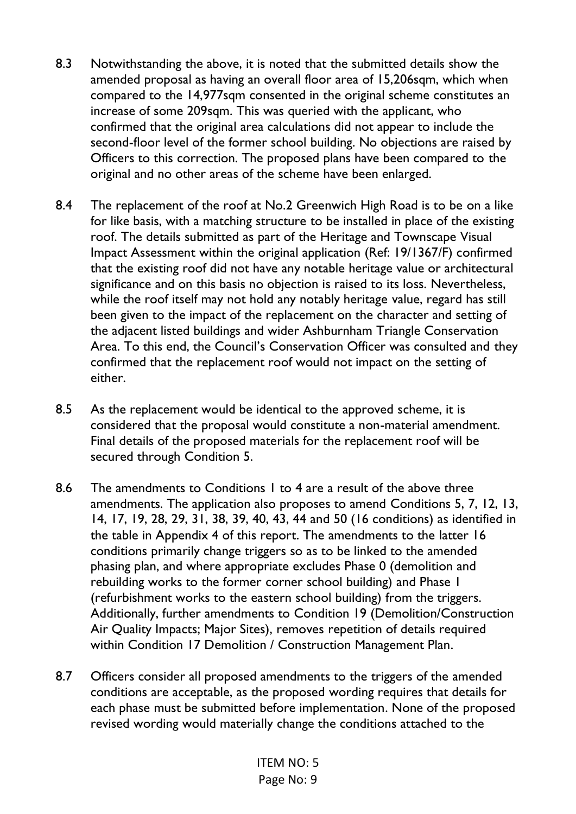- 8.3 Notwithstanding the above, it is noted that the submitted details show the amended proposal as having an overall floor area of 15,206sqm, which when compared to the 14,977sqm consented in the original scheme constitutes an increase of some 209sqm. This was queried with the applicant, who confirmed that the original area calculations did not appear to include the second-floor level of the former school building. No objections are raised by Officers to this correction. The proposed plans have been compared to the original and no other areas of the scheme have been enlarged.
- 8.4 The replacement of the roof at No.2 Greenwich High Road is to be on a like for like basis, with a matching structure to be installed in place of the existing roof. The details submitted as part of the Heritage and Townscape Visual Impact Assessment within the original application (Ref: 19/1367/F) confirmed that the existing roof did not have any notable heritage value or architectural significance and on this basis no objection is raised to its loss. Nevertheless, while the roof itself may not hold any notably heritage value, regard has still been given to the impact of the replacement on the character and setting of the adjacent listed buildings and wider Ashburnham Triangle Conservation Area. To this end, the Council's Conservation Officer was consulted and they confirmed that the replacement roof would not impact on the setting of either.
- 8.5 As the replacement would be identical to the approved scheme, it is considered that the proposal would constitute a non-material amendment. Final details of the proposed materials for the replacement roof will be secured through Condition 5.
- 8.6 The amendments to Conditions 1 to 4 are a result of the above three amendments. The application also proposes to amend Conditions 5, 7, 12, 13, 14, 17, 19, 28, 29, 31, 38, 39, 40, 43, 44 and 50 (16 conditions) as identified in the table in Appendix 4 of this report. The amendments to the latter 16 conditions primarily change triggers so as to be linked to the amended phasing plan, and where appropriate excludes Phase 0 (demolition and rebuilding works to the former corner school building) and Phase 1 (refurbishment works to the eastern school building) from the triggers. Additionally, further amendments to Condition 19 (Demolition/Construction Air Quality Impacts; Major Sites), removes repetition of details required within Condition 17 Demolition / Construction Management Plan.
- 8.7 Officers consider all proposed amendments to the triggers of the amended conditions are acceptable, as the proposed wording requires that details for each phase must be submitted before implementation. None of the proposed revised wording would materially change the conditions attached to the

ITEM NO: 5 Page No: 9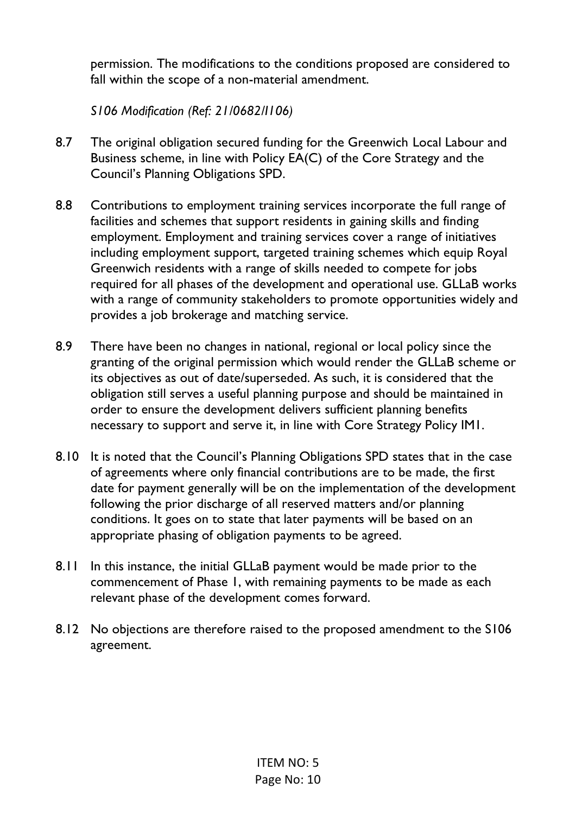permission. The modifications to the conditions proposed are considered to fall within the scope of a non-material amendment.

*S106 Modification (Ref: 21/0682/I106)* 

- 8.7 The original obligation secured funding for the Greenwich Local Labour and Business scheme, in line with Policy EA(C) of the Core Strategy and the Council's Planning Obligations SPD.
- 8.8 Contributions to employment training services incorporate the full range of facilities and schemes that support residents in gaining skills and finding employment. Employment and training services cover a range of initiatives including employment support, targeted training schemes which equip Royal Greenwich residents with a range of skills needed to compete for jobs required for all phases of the development and operational use. GLLaB works with a range of community stakeholders to promote opportunities widely and provides a job brokerage and matching service.
- 8.9 There have been no changes in national, regional or local policy since the granting of the original permission which would render the GLLaB scheme or its objectives as out of date/superseded. As such, it is considered that the obligation still serves a useful planning purpose and should be maintained in order to ensure the development delivers sufficient planning benefits necessary to support and serve it, in line with Core Strategy Policy IM1.
- 8.10 It is noted that the Council's Planning Obligations SPD states that in the case of agreements where only financial contributions are to be made, the first date for payment generally will be on the implementation of the development following the prior discharge of all reserved matters and/or planning conditions. It goes on to state that later payments will be based on an appropriate phasing of obligation payments to be agreed.
- 8.11 In this instance, the initial GLLaB payment would be made prior to the commencement of Phase 1, with remaining payments to be made as each relevant phase of the development comes forward.
- 8.12 No objections are therefore raised to the proposed amendment to the S106 agreement.